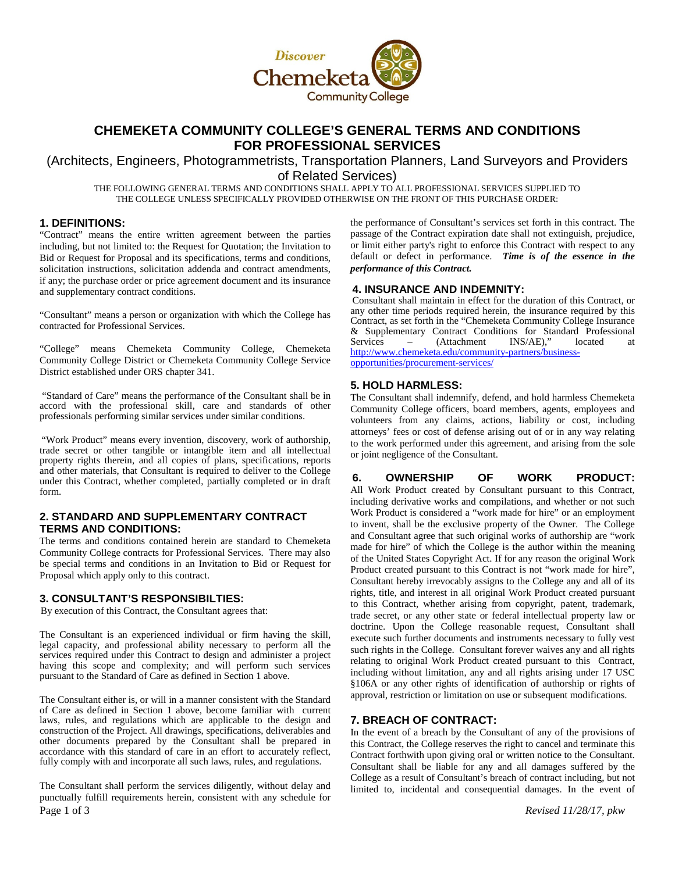

# **CHEMEKETA COMMUNITY COLLEGE'S GENERAL TERMS AND CONDITIONS FOR PROFESSIONAL SERVICES**

(Architects, Engineers, Photogrammetrists, Transportation Planners, Land Surveyors and Providers of Related Services)

THE FOLLOWING GENERAL TERMS AND CONDITIONS SHALL APPLY TO ALL PROFESSIONAL SERVICES SUPPLIED TO THE COLLEGE UNLESS SPECIFICALLY PROVIDED OTHERWISE ON THE FRONT OF THIS PURCHASE ORDER:

### **1. DEFINITIONS:**

"Contract" means the entire written agreement between the parties including, but not limited to: the Request for Quotation; the Invitation to Bid or Request for Proposal and its specifications, terms and conditions, solicitation instructions, solicitation addenda and contract amendments, if any; the purchase order or price agreement document and its insurance and supplementary contract conditions.

"Consultant" means a person or organization with which the College has contracted for Professional Services.

"College" means Chemeketa Community College, Chemeketa Community College District or Chemeketa Community College Service District established under ORS chapter 341.

"Standard of Care" means the performance of the Consultant shall be in accord with the professional skill, care and standards of other professionals performing similar services under similar conditions.

"Work Product" means every invention, discovery, work of authorship, trade secret or other tangible or intangible item and all intellectual property rights therein, and all copies of plans, specifications, reports and other materials, that Consultant is required to deliver to the College under this Contract, whether completed, partially completed or in draft form.

# **2. STANDARD AND SUPPLEMENTARY CONTRACT TERMS AND CONDITIONS:**

The terms and conditions contained herein are standard to Chemeketa Community College contracts for Professional Services. There may also be special terms and conditions in an Invitation to Bid or Request for Proposal which apply only to this contract.

#### **3. CONSULTANT'S RESPONSIBILTIES:**

By execution of this Contract, the Consultant agrees that:

The Consultant is an experienced individual or firm having the skill, legal capacity, and professional ability necessary to perform all the services required under this Contract to design and administer a project having this scope and complexity; and will perform such services pursuant to the Standard of Care as defined in Section 1 above.

The Consultant either is, or will in a manner consistent with the Standard of Care as defined in Section 1 above, become familiar with current laws, rules, and regulations which are applicable to the design and construction of the Project. All drawings, specifications, deliverables and other documents prepared by the Consultant shall be prepared in accordance with this standard of care in an effort to accurately reflect, fully comply with and incorporate all such laws, rules, and regulations.

Page 1 of 3 *Revised 11/28/17, pkw* The Consultant shall perform the services diligently, without delay and punctually fulfill requirements herein, consistent with any schedule for

the performance of Consultant's services set forth in this contract. The passage of the Contract expiration date shall not extinguish, prejudice, or limit either party's right to enforce this Contract with respect to any default or defect in performance. *Time is of the essence in the performance of this Contract.*

**4. INSURANCE AND INDEMNITY:** Consultant shall maintain in effect for the duration of this Contract, or any other time periods required herein, the insurance required by this Contract, as set forth in the "Chemeketa Community College Insurance & Supplementary Contract Conditions for Standard Professional Services – (Attachment INS/AE)," located at [http://www.chemeketa.edu/community-partners/business](http://www.chemeketa.edu/community-partners/business-opportunities/procurement-services/)[opportunities/procurement-services/](http://www.chemeketa.edu/community-partners/business-opportunities/procurement-services/)

#### **5. HOLD HARMLESS:**

The Consultant shall indemnify, defend, and hold harmless Chemeketa Community College officers, board members, agents, employees and volunteers from any claims, actions, liability or cost, including attorneys' fees or cost of defense arising out of or in any way relating to the work performed under this agreement, and arising from the sole or joint negligence of the Consultant.

# **6. OWNERSHIP OF WORK PRODUCT:**

All Work Product created by Consultant pursuant to this Contract, including derivative works and compilations, and whether or not such Work Product is considered a "work made for hire" or an employment to invent, shall be the exclusive property of the Owner. The College and Consultant agree that such original works of authorship are "work made for hire" of which the College is the author within the meaning of the United States Copyright Act. If for any reason the original Work Product created pursuant to this Contract is not "work made for hire", Consultant hereby irrevocably assigns to the College any and all of its rights, title, and interest in all original Work Product created pursuant to this Contract, whether arising from copyright, patent, trademark, trade secret, or any other state or federal intellectual property law or doctrine. Upon the College reasonable request, Consultant shall execute such further documents and instruments necessary to fully vest such rights in the College. Consultant forever waives any and all rights relating to original Work Product created pursuant to this Contract, including without limitation, any and all rights arising under 17 USC §106A or any other rights of identification of authorship or rights of approval, restriction or limitation on use or subsequent modifications.

# **7. BREACH OF CONTRACT:**

In the event of a breach by the Consultant of any of the provisions of this Contract, the College reserves the right to cancel and terminate this Contract forthwith upon giving oral or written notice to the Consultant. Consultant shall be liable for any and all damages suffered by the College as a result of Consultant's breach of contract including, but not limited to, incidental and consequential damages. In the event of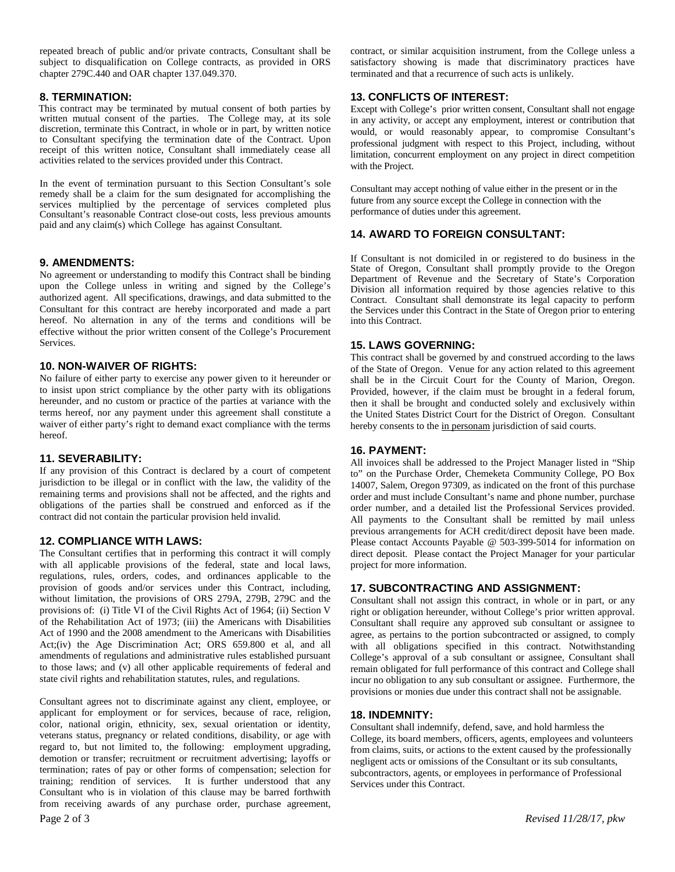repeated breach of public and/or private contracts, Consultant shall be subject to disqualification on College contracts, as provided in ORS chapter 279C.440 and OAR chapter 137.049.370.

## **8. TERMINATION:**

This contract may be terminated by mutual consent of both parties by written mutual consent of the parties. The College may, at its sole discretion, terminate this Contract, in whole or in part, by written notice to Consultant specifying the termination date of the Contract. Upon receipt of this written notice, Consultant shall immediately cease all activities related to the services provided under this Contract.

In the event of termination pursuant to this Section Consultant's sole remedy shall be a claim for the sum designated for accomplishing the services multiplied by the percentage of services completed plus Consultant's reasonable Contract close-out costs, less previous amounts paid and any claim(s) which College has against Consultant.

## **9. AMENDMENTS:**

No agreement or understanding to modify this Contract shall be binding upon the College unless in writing and signed by the College's authorized agent. All specifications, drawings, and data submitted to the Consultant for this contract are hereby incorporated and made a part hereof. No alternation in any of the terms and conditions will be effective without the prior written consent of the College's Procurement Services.

## **10. NON-WAIVER OF RIGHTS:**

No failure of either party to exercise any power given to it hereunder or to insist upon strict compliance by the other party with its obligations hereunder, and no custom or practice of the parties at variance with the terms hereof, nor any payment under this agreement shall constitute a waiver of either party's right to demand exact compliance with the terms hereof.

#### **11. SEVERABILITY:**

If any provision of this Contract is declared by a court of competent jurisdiction to be illegal or in conflict with the law, the validity of the remaining terms and provisions shall not be affected, and the rights and obligations of the parties shall be construed and enforced as if the contract did not contain the particular provision held invalid.

#### **12. COMPLIANCE WITH LAWS:**

The Consultant certifies that in performing this contract it will comply with all applicable provisions of the federal, state and local laws, regulations, rules, orders, codes, and ordinances applicable to the provision of goods and/or services under this Contract, including, without limitation, the provisions of ORS 279A, 279B, 279C and the provisions of: (i) Title VI of the Civil Rights Act of 1964; (ii) Section V of the Rehabilitation Act of 1973; (iii) the Americans with Disabilities Act of 1990 and the 2008 amendment to the Americans with Disabilities Act;(iv) the Age Discrimination Act; ORS 659.800 et al, and all amendments of regulations and administrative rules established pursuant to those laws; and (v) all other applicable requirements of federal and state civil rights and rehabilitation statutes, rules, and regulations.

Consultant agrees not to discriminate against any client, employee, or applicant for employment or for services, because of race, religion, color, national origin, ethnicity, sex, sexual orientation or identity, veterans status, pregnancy or related conditions, disability, or age with regard to, but not limited to, the following: employment upgrading, demotion or transfer; recruitment or recruitment advertising; layoffs or termination; rates of pay or other forms of compensation; selection for training; rendition of services. It is further understood that any Consultant who is in violation of this clause may be barred forthwith from receiving awards of any purchase order, purchase agreement,

contract, or similar acquisition instrument, from the College unless a satisfactory showing is made that discriminatory practices have terminated and that a recurrence of such acts is unlikely.

# **13. CONFLICTS OF INTEREST:**

Except with College's prior written consent, Consultant shall not engage in any activity, or accept any employment, interest or contribution that would, or would reasonably appear, to compromise Consultant's professional judgment with respect to this Project, including, without limitation, concurrent employment on any project in direct competition with the Project.

Consultant may accept nothing of value either in the present or in the future from any source except the College in connection with the performance of duties under this agreement.

# **14. AWARD TO FOREIGN CONSULTANT:**

If Consultant is not domiciled in or registered to do business in the State of Oregon, Consultant shall promptly provide to the Oregon Department of Revenue and the Secretary of State's Corporation Division all information required by those agencies relative to this Contract. Consultant shall demonstrate its legal capacity to perform the Services under this Contract in the State of Oregon prior to entering into this Contract.

# **15. LAWS GOVERNING:**

This contract shall be governed by and construed according to the laws of the State of Oregon. Venue for any action related to this agreement shall be in the Circuit Court for the County of Marion, Oregon. Provided, however, if the claim must be brought in a federal forum, then it shall be brought and conducted solely and exclusively within the United States District Court for the District of Oregon. Consultant hereby consents to the in personam jurisdiction of said courts.

#### **16. PAYMENT:**

All invoices shall be addressed to the Project Manager listed in "Ship to" on the Purchase Order, Chemeketa Community College, PO Box 14007, Salem, Oregon 97309, as indicated on the front of this purchase order and must include Consultant's name and phone number, purchase order number, and a detailed list the Professional Services provided. All payments to the Consultant shall be remitted by mail unless previous arrangements for ACH credit/direct deposit have been made. Please contact Accounts Payable @ 503-399-5014 for information on direct deposit. Please contact the Project Manager for your particular project for more information.

# **17. SUBCONTRACTING AND ASSIGNMENT:**

Consultant shall not assign this contract, in whole or in part, or any right or obligation hereunder, without College's prior written approval. Consultant shall require any approved sub consultant or assignee to agree, as pertains to the portion subcontracted or assigned, to comply with all obligations specified in this contract. Notwithstanding College's approval of a sub consultant or assignee, Consultant shall remain obligated for full performance of this contract and College shall incur no obligation to any sub consultant or assignee. Furthermore, the provisions or monies due under this contract shall not be assignable.

#### **18. INDEMNITY:**

Consultant shall indemnify, defend, save, and hold harmless the College, its board members, officers, agents, employees and volunteers from claims, suits, or actions to the extent caused by the professionally negligent acts or omissions of the Consultant or its sub consultants, subcontractors, agents, or employees in performance of Professional Services under this Contract.